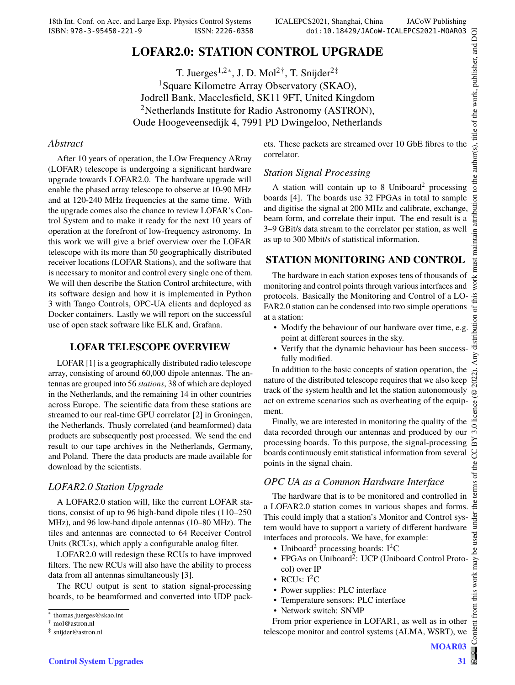# **LOFAR2.0: STATION CONTROL UPGRADE**

T. Juerges<sup>1,2∗</sup>, J. D. Mol<sup>2†</sup>, T. Snijder<sup>2‡</sup> <sup>1</sup>Square Kilometre Array Observatory (SKAO), Jodrell Bank, Macclesfield, SK11 9FT, United Kingdom <sup>2</sup>Netherlands Institute for Radio Astronomy (ASTRON), Oude Hoogeveensedijk 4, 7991 PD Dwingeloo, Netherlands

### *Abstract*

After 10 years of operation, the LOw Frequency ARray (LOFAR) telescope is undergoing a significant hardware upgrade towards LOFAR2.0. The hardware upgrade will enable the phased array telescope to observe at 10-90 MHz and at 120-240 MHz frequencies at the same time. With the upgrade comes also the chance to review LOFAR's Control System and to make it ready for the next 10 years of operation at the forefront of low-frequency astronomy. In this work we will give a brief overview over the LOFAR telescope with its more than 50 geographically distributed receiver locations (LOFAR Stations), and the software that is necessary to monitor and control every single one of them. We will then describe the Station Control architecture, with its software design and how it is implemented in Python 3 with Tango Controls, OPC-UA clients and deployed as Docker containers. Lastly we will report on the successful use of open stack software like ELK and, Grafana.

## **LOFAR TELESCOPE OVERVIEW**

LOFAR [1] is a geographically distributed radio telescope array, consisting of around 60,000 dipole antennas. The antennas are grouped into 56 *stations*, 38 of which are deployed in the Netherlands, and the remaining 14 in other countries across Europe. The scientific data from these stations are streamed to our real-time GPU correlator [2] in Groningen, the Netherlands. Thusly correlated (and beamformed) data products are subsequently post processed. We send the end result to our tape archives in the Netherlands, Germany, and Poland. There the data products are made available for download by the scientists.

## *LOFAR2.0 Station Upgrade*

A LOFAR2.0 station will, like the current LOFAR stations, consist of up to 96 high-band dipole tiles (110–250 MHz), and 96 low-band dipole antennas (10–80 MHz). The tiles and antennas are connected to 64 Receiver Control Units (RCUs), which apply a configurable analog filter.

LOFAR2.0 will redesign these RCUs to have improved filters. The new RCUs will also have the ability to process data from all antennas simultaneously [3].

The RCU output is sent to station signal-processing boards, to be beamformed and converted into UDP packets. These packets are streamed over 10 GbE fibres to the correlator.

### *Station Signal Processing*

A station will contain up to 8 Uniboard<sup>2</sup> processing boards [4]. The boards use 32 FPGAs in total to sample and digitise the signal at 200 MHz and calibrate, exchange, beam form, and correlate their input. The end result is a 3–9 GBit/s data stream to the correlator per station, as well as up to 300 Mbit/s of statistical information.

## **STATION MONITORING AND CONTROL**

The hardware in each station exposes tens of thousands of monitoring and control points through various interfaces and protocols. Basically the Monitoring and Control of a LO-FAR2.0 station can be condensed into two simple operations at a station:

- Modify the behaviour of our hardware over time, e.g. point at different sources in the sky.
- Verify that the dynamic behaviour has been successfully modified.

In addition to the basic concepts of station operation, the nature of the distributed telescope requires that we also keep track of the system health and let the station autonomously act on extreme scenarios such as overheating of the equipment.

Finally, we are interested in monitoring the quality of the data recorded through our antennas and produced by our processing boards. To this purpose, the signal-processing boards continuously emit statistical information from several points in the signal chain.

## *OPC UA as a Common Hardware Interface*

The hardware that is to be monitored and controlled in a LOFAR2.0 station comes in various shapes and forms. This could imply that a station's Monitor and Control system would have to support a variety of different hardware interfaces and protocols. We have, for example:

- Uniboard<sup>2</sup> processing boards:  $I^2C$
- FPGAs on Uniboard<sup>2</sup>: UCP (Uniboard Control Protocol) over IP
- RCUs:  $I^2C$
- Power supplies: PLC interface
- Temperature sensors: PLC interface
- Network switch: SNMP

From prior experience in LOFAR1, as well as in other telescope monitor and control systems (ALMA, WSRT), we

Content from this work may be used under the terms of the CC BY 3.0 licence (© 2022). Any distribution of this work must maintain attribution to the author(s), title of the work, publisher, and DOI

 $\odot$ 8

 $3.0$  $_{\rm B}$ 9 the t terms

under

be used

from this work may

distribution

to the author(s), title of the work, publisher, and DOI

 $\overline{5}$ 

maintain attribut

ist

work<sub>1</sub> this 'ਰ

<sup>∗</sup> thomas.juerges@skao.int

<sup>†</sup> mol@astron.nl

<sup>‡</sup> snijder@astron.nl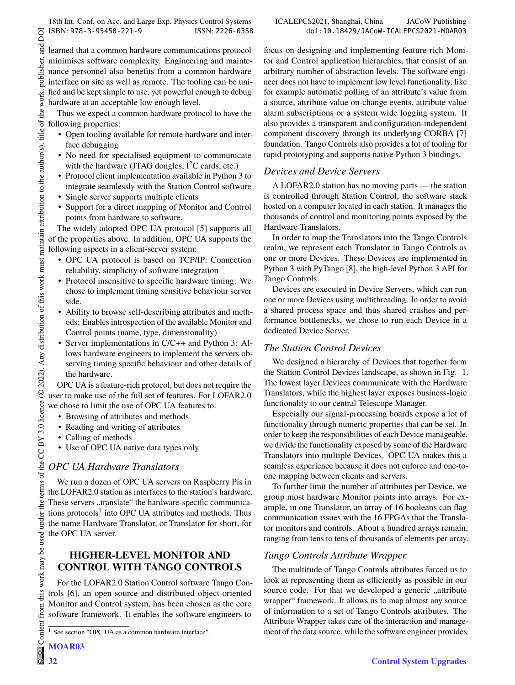DOI  $\overline{a}$ 

publisher,

work,

maintain attribution to the author(s), title of the

terms of the CC BY 3.0 licence ( $\odot$  2022). Any distribution of this work must

learned that a common hardware communications protocol minimises software complexity. Engineering and maintenance personnel also benefits from a common hardware interface on site as well as remote. The tooling can be unified and be kept simple to use, yet powerful enough to debug hardware at an acceptable low enough level.

Thus we expect a common hardware protocol to have the following properties:

- Open tooling available for remote hardware and interface debugging
- No need for specialised equipment to communicate with the hardware (JTAG dongles,  $I^2C$  cards, etc.)
- Protocol client implementation available in Python 3 to integrate seamlessly with the Station Control software
- Single server supports multiple clients
- Support for a direct mapping of Monitor and Control points from hardware to software.

The widely adopted OPC UA protocol [5] supports all of the properties above. In addition, OPC UA supports the following aspects in a client-server system:

- OPC UA protocol is based on TCP/IP: Connection reliability, simplicity of software integration
- Protocol insensitive to specific hardware timing: We chose to implement timing sensitive behaviour server side.
- Ability to browse self-describing attributes and methods: Enables introspection of the available Monitor and Control points (name, type, dimensionality)
- Server implementations in C/C++ and Python 3: Allows hardware engineers to implement the servers observing timing specific behaviour and other details of the hardware.

OPC UA is a feature-rich protocol, but does not require the user to make use of the full set of features. For LOFAR2.0 we chose to limit the use of OPC UA features to:

- Browsing of attributes and methods
- Reading and writing of attributes
- Calling of methods
- Use of OPC UA native data types only

## *OPC UA Hardware Translators*

We run a dozen of OPC UA servers on Raspberry Pis in the LOFAR2.0 station as interfaces to the station's hardware. These servers "translate" the hardware-specific communications protocols<sup>1</sup> into OPC UA attributes and methods. Thus the name Hardware Translator, or Translator for short, for the OPC UA server.

## **HIGHER-LEVEL MONITOR AND CONTROL WITH TANGO CONTROLS**

For the LOFAR2.0 Station Control software Tango Controls [6], an open source and distributed object-oriented Monitor and Control system, has been chosen as the core software framework. It enables the software engineers to focus on designing and implementing feature rich Monitor and Control application hierarchies, that consist of an arbitrary number of abstraction levels. The software engineer does not have to implement low level functionality, like for example automatic polling of an attribute's value from a source, attribute value on-change events, attribute value alarm subscriptions or a system wide logging system. It also provides a transparent and configuration-independent component discovery through its underlying CORBA [7] foundation. Tango Controls also provides a lot of tooling for rapid prototyping and supports native Python 3 bindings.

## *Devices and Device Servers*

A LOFAR2.0 station has no moving parts — the station is controlled through Station Control, the software stack hosted on a computer located in each station. It manages the thousands of control and monitoring points exposed by the Hardware Translators.

In order to map the Translators into the Tango Controls realm, we represent each Translator in Tango Controls as one or more Devices. These Devices are implemented in Python 3 with PyTango [8], the high-level Python 3 API for Tango Controls.

Devices are executed in Device Servers, which can run one or more Devices using multithreading. In order to avoid a shared process space and thus shared crashes and performance bottlenecks, we chose to run each Device in a dedicated Device Server.

## *The Station Control Devices*

We designed a hierarchy of Devices that together form the Station Control Devices landscape, as shown in Fig. 1. The lowest layer Devices communicate with the Hardware Translators, while the highest layer exposes business-logic functionality to our central Telescope Manager.

Especially our signal-processing boards expose a lot of functionality through numeric properties that can be set. In order to keep the responsibilities of each Device manageable, we divide the functionality exposed by some of the Hardware Translators into multiple Devices. OPC UA makes this a seamless experience because it does not enforce and one-toone mapping between clients and servers.

To further limit the number of attributes per Device, we group most hardware Monitor points into arrays. For example, in one Translator, an array of 16 booleans can flag communication issues with the 16 FPGAs that the Translator monitors and controls. About a hundred arrays remain, ranging from tens to tens of thousands of elements per array.

## *Tango Controls Attribute Wrapper*

The multitude of Tango Controls attributes forced us to look at representing them as efficiently as possible in our source code. For that we developed a generic "attribute wrapper" framework. It allows us to map almost any source of information to a set of Tango Controls attributes. The Attribute Wrapper takes care of the interaction and management of the data source, while the software engineer provides

this work may be used under the

from t

<sup>1</sup> See section "OPC UA as a common hardware interface".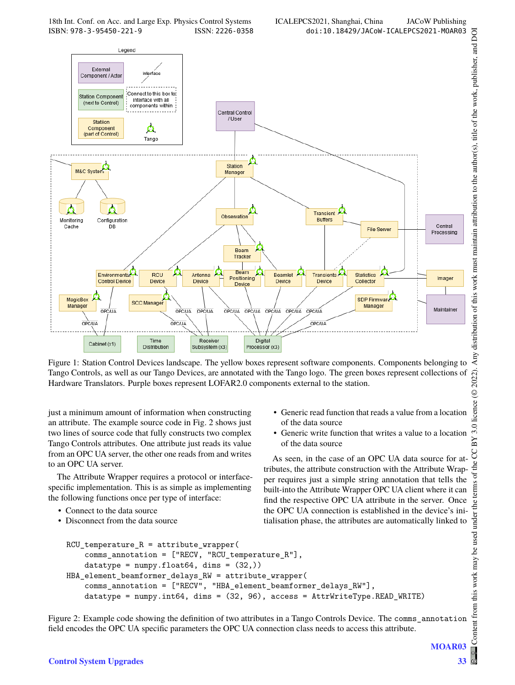

Figure 1: Station Control Devices landscape. The yellow boxes represent software components. Components belonging to Tango Controls, as well as our Tango Devices, are annotated with the Tango logo. The green boxes represent collections of Hardware Translators. Purple boxes represent LOFAR2.0 components external to the station.

just a minimum amount of information when constructing an attribute. The example source code in Fig. 2 shows just two lines of source code that fully constructs two complex Tango Controls attributes. One attribute just reads its value from an OPC UA server, the other one reads from and writes to an OPC UA server.

The Attribute Wrapper requires a protocol or interfacespecific implementation. This is as simple as implementing the following functions once per type of interface:

- Connect to the data source
- Disconnect from the data source
- Generic read function that reads a value from a location of the data source
- Generic write function that writes a value to a location of the data source

As seen, in the case of an OPC UA data source for attributes, the attribute construction with the Attribute Wrapper requires just a simple string annotation that tells the built-into the Attribute Wrapper OPC UA client where it can find the respective OPC UA attribute in the server. Once the OPC UA connection is established in the device's initialisation phase, the attributes are automatically linked to

```
RCU_t temperature<sub>_R</sub> = attribute_wrapper(
    comms_annotation = ["RECV, "RCU_temperature_R"],
    datatype = numpy.float64, dims = (32,))
HBA_element_beamformer_delays_RW = attribute_wrapper(
    comms_annotation = ["RECV", "HBA_element_beamformer_delays_RW"],
    datatype = numpy.int64, dims = (32, 96), access = AttrWriteType.READ_WRITE)
```
Figure 2: Example code showing the definition of two attributes in a Tango Controls Device. The comms\_annotation field encodes the OPC UA specific parameters the OPC UA connection class needs to access this attribute.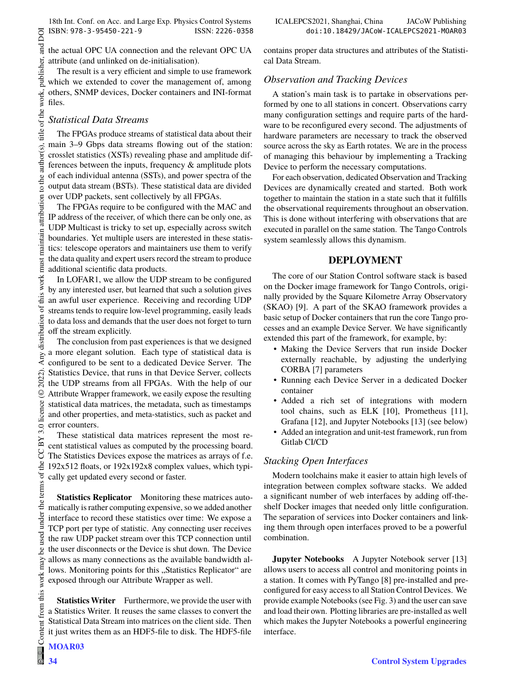Content from this work may be used under the terms of the CC BY 3.0 licence (© 2022). Any distribution of this work must maintain attribution to the author(s), title of the work, publisher, and DOI and 1 the actual OPC UA connection and the relevant OPC UA publisher, attribute (and unlinked on de-initialisation).

The result is a very efficient and simple to use framework which we extended to cover the management of, among others, SNMP devices, Docker containers and INI-format files.

## *Statistical Data Streams*

DOI

work,

to the author(s), title of the

attribution

maintain

distribution of this work must

Any o

2022).  $\odot$ 

3.0 licence

 $BY$ S of the

under the terms

be used

this work may

from

The FPGAs produce streams of statistical data about their main 3–9 Gbps data streams flowing out of the station: crosslet statistics (XSTs) revealing phase and amplitude differences between the inputs, frequency & amplitude plots of each individual antenna (SSTs), and power spectra of the output data stream (BSTs). These statistical data are divided over UDP packets, sent collectively by all FPGAs.

The FPGAs require to be configured with the MAC and IP address of the receiver, of which there can be only one, as UDP Multicast is tricky to set up, especially across switch boundaries. Yet multiple users are interested in these statistics: telescope operators and maintainers use them to verify the data quality and expert users record the stream to produce additional scientific data products.

In LOFAR1, we allow the UDP stream to be configured by any interested user, but learned that such a solution gives an awful user experience. Receiving and recording UDP streams tends to require low-level programming, easily leads to data loss and demands that the user does not forget to turn off the stream explicitly.

The conclusion from past experiences is that we designed a more elegant solution. Each type of statistical data is configured to be sent to a dedicated Device Server. The Statistics Device, that runs in that Device Server, collects the UDP streams from all FPGAs. With the help of our Attribute Wrapper framework, we easily expose the resulting statistical data matrices, the metadata, such as timestamps and other properties, and meta-statistics, such as packet and error counters.

These statistical data matrices represent the most recent statistical values as computed by the processing board. The Statistics Devices expose the matrices as arrays of f.e. 192x512 floats, or 192x192x8 complex values, which typically get updated every second or faster.

**Statistics Replicator** Monitoring these matrices automatically is rather computing expensive, so we added another interface to record these statistics over time: We expose a TCP port per type of statistic. Any connecting user receives the raw UDP packet stream over this TCP connection until the user disconnects or the Device is shut down. The Device allows as many connections as the available bandwidth allows. Monitoring points for this "Statistics Replicator" are exposed through our Attribute Wrapper as well.

**Statistics Writer** Furthermore, we provide the user with a Statistics Writer. It reuses the same classes to convert the Statistical Data Stream into matrices on the client side. Then it just writes them as an HDF5-file to disk. The HDF5-file

MOAR<sub>03</sub>

contains proper data structures and attributes of the Statistical Data Stream.

## *Observation and Tracking Devices*

A station's main task is to partake in observations performed by one to all stations in concert. Observations carry many configuration settings and require parts of the hardware to be reconfigured every second. The adjustments of hardware parameters are necessary to track the observed source across the sky as Earth rotates. We are in the process of managing this behaviour by implementing a Tracking Device to perform the necessary computations.

For each observation, dedicated Observation and Tracking Devices are dynamically created and started. Both work together to maintain the station in a state such that it fulfills the observational requirements throughout an observation. This is done without interfering with observations that are executed in parallel on the same station. The Tango Controls system seamlessly allows this dynamism.

### **DEPLOYMENT**

The core of our Station Control software stack is based on the Docker image framework for Tango Controls, originally provided by the Square Kilometre Array Observatory (SKAO) [9]. A part of the SKAO framework provides a basic setup of Docker containers that run the core Tango processes and an example Device Server. We have significantly extended this part of the framework, for example, by:

- Making the Device Servers that run inside Docker externally reachable, by adjusting the underlying CORBA [7] parameters
- Running each Device Server in a dedicated Docker container
- Added a rich set of integrations with modern tool chains, such as ELK [10], Prometheus [11], Grafana [12], and Jupyter Notebooks [13] (see below)
- Added an integration and unit-test framework, run from Gitlab CI/CD

## *Stacking Open Interfaces*

Modern toolchains make it easier to attain high levels of integration between complex software stacks. We added a significant number of web interfaces by adding off-theshelf Docker images that needed only little configuration. The separation of services into Docker containers and linking them through open interfaces proved to be a powerful combination.

**Jupyter Notebooks** A Jupyter Notebook server [13] allows users to access all control and monitoring points in a station. It comes with PyTango [8] pre-installed and preconfigured for easy access to all Station Control Devices. We provide example Notebooks (see Fig. 3) and the user can save and load their own. Plotting libraries are pre-installed as well which makes the Jupyter Notebooks a powerful engineering interface.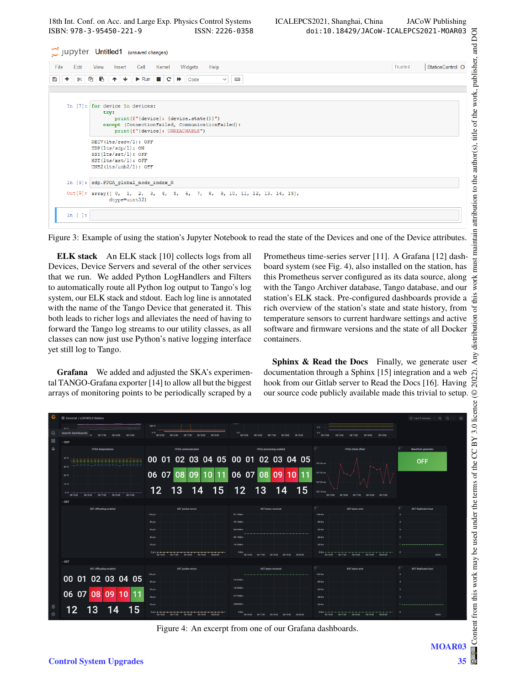18th Int. Conf. on Acc. and Large Exp. Physics Control Systems ICALEPCS2021, Shanghai, China JACoW Publishing ISBN: 978-3-95450-221-9 ISSN: 2226-0358 doi:10.18429/JACoW-ICALEPCS2021-MOAR03

| Jupyter Untitled1 (unsaved changes)                                                                                                                                                                                                                                                                                                                                                                                                                                                                                                                     |         |                  |
|---------------------------------------------------------------------------------------------------------------------------------------------------------------------------------------------------------------------------------------------------------------------------------------------------------------------------------------------------------------------------------------------------------------------------------------------------------------------------------------------------------------------------------------------------------|---------|------------------|
| Cell<br>Help<br>File<br>Edit<br>Kernel<br>Widgets<br><b>View</b><br>Insert                                                                                                                                                                                                                                                                                                                                                                                                                                                                              | Trusted | StationControl O |
| <b>ØBA↓</b><br>$\triangleright$ Run $\blacksquare$ $\blacksquare$ $\blacksquare$ $\blacksquare$ $\blacksquare$ $\blacksquare$ $\blacksquare$ $\blacksquare$ $\blacksquare$ $\blacksquare$ $\blacksquare$ $\blacksquare$ $\blacksquare$ $\blacksquare$ $\blacksquare$ $\blacksquare$ $\blacksquare$ $\blacksquare$ $\blacksquare$ $\blacksquare$ $\blacksquare$ $\blacksquare$ $\blacksquare$ $\blacksquare$ $\blacksquare$ $\blacksquare$ $\blacksquare$ $\blacksquare$ $\blacksquare$ $\blacksquare$<br>B<br><b>Execute</b><br>೫<br>÷.<br>$\checkmark$ |         |                  |
|                                                                                                                                                                                                                                                                                                                                                                                                                                                                                                                                                         |         |                  |
| In [7]: for device in devices:<br>try:<br>print(f"{device}: {device.state()}")<br>except (ConnectionFailed, CommunicationFailed):<br>print (f"{device}: UNREACHABLE")                                                                                                                                                                                                                                                                                                                                                                                   |         |                  |
| RECV(lts/recv/1): OFF<br>SDP(lts/sdp/1): ON<br>$SST(lts/sst/1)$ : OFF<br>$XST(lts/xst/1):$ OFF<br>$UNB2(lts/unb2/1):$ OFF                                                                                                                                                                                                                                                                                                                                                                                                                               |         |                  |
| In [9]: sdp.FPGA_global_node_index R                                                                                                                                                                                                                                                                                                                                                                                                                                                                                                                    |         |                  |
| Out[9]: array([0, 1, 2, 3, 4, 5, 6, 7, 8, 9, 10, 11, 12, 13, 14, 15],<br>dtype=uint32)                                                                                                                                                                                                                                                                                                                                                                                                                                                                  |         |                  |
| In $[ ]:$                                                                                                                                                                                                                                                                                                                                                                                                                                                                                                                                               |         |                  |

Figure 3: Example of using the station's Jupyter Notebook to read the state of the Devices and one of the Device attributes.

**ELK stack** An ELK stack [10] collects logs from all Devices, Device Servers and several of the other services that we run. We added Python LogHandlers and Filters to automatically route all Python log output to Tango's log system, our ELK stack and stdout. Each log line is annotated with the name of the Tango Device that generated it. This both leads to richer logs and alleviates the need of having to forward the Tango log streams to our utility classes, as all classes can now just use Python's native logging interface yet still log to Tango.

**Grafana** We added and adjusted the SKA's experimental TANGO-Grafana exporter [14] to allow all but the biggest arrays of monitoring points to be periodically scraped by a

Prometheus time-series server [11]. A Grafana [12] dashboard system (see Fig. 4), also installed on the station, has this Prometheus server configured as its data source, along with the Tango Archiver database, Tango database, and our station's ELK stack. Pre-configured dashboards provide a rich overview of the station's state and state history, from temperature sensors to current hardware settings and active software and firmware versions and the state of all Docker containers.

**Sphinx & Read the Docs** Finally, we generate user documentation through a Sphinx [15] integration and a web hook from our Gitlab server to Read the Docs [16]. Having our source code publicly available made this trivial to setup.

|             | <b>88 General / LOFAR2.0 Station</b>                                  |                                                                                                                                                                                                                                                                                                                    |                                                                |                                                                      | ⊙ Last S minutes v ⊙ 2 v □                    |
|-------------|-----------------------------------------------------------------------|--------------------------------------------------------------------------------------------------------------------------------------------------------------------------------------------------------------------------------------------------------------------------------------------------------------------|----------------------------------------------------------------|----------------------------------------------------------------------|-----------------------------------------------|
| Q           | 35.50<br>Search dashboards<br>$\sim$<br>08:17:00 08:18:00 08:19:00    | 200 °C<br>0 <sup>1</sup> C<br>08:15:00<br>08:16:00<br>08:17.00<br>08:18:00<br>08:19:00                                                                                                                                                                                                                             | 0V<br>08:15:00<br>08:16:00<br>08:17:00<br>08:18:00<br>08:19:00 | 2V<br>ov<br>08:15:00<br>08:16:00<br>08:17:00<br>08:18:00<br>08:19:00 |                                               |
| 88          | $~\mathsf{\sim}$ SDP                                                  |                                                                                                                                                                                                                                                                                                                    |                                                                |                                                                      |                                               |
| $\triangle$ | FPGA temperatures                                                     | <b>FPGA</b> communication                                                                                                                                                                                                                                                                                          | FPGA processing enabled                                        | <b>FPGA Clock offset</b>                                             | Waveform generator                            |
|             | 40 °C<br>_____________<br>30 °C                                       |                                                                                                                                                                                                                                                                                                                    | 00 01 02 03 04 05 00 01 02 03 04 05                            | 187.40 ms                                                            | <b>OFF</b>                                    |
|             | 20 °C                                                                 | $06\ 07$<br>11  <br>10 I<br>09                                                                                                                                                                                                                                                                                     | 06 07<br>09<br>10<br>08                                        | 187.30 ms<br>187.20 ms                                               |                                               |
|             | 10 °C                                                                 | 12 <sup>2</sup><br>13<br>15<br>14                                                                                                                                                                                                                                                                                  | 12 <br>13<br>15<br>14                                          |                                                                      |                                               |
|             | $0^{\circ}C$<br>08:15:00<br>08:16:00<br>08:17:00<br>08:18:00 08:19:00 |                                                                                                                                                                                                                                                                                                                    |                                                                | 187.10 ms<br>08:15:00<br>08:16:00 08:17:00 08:18:00<br>08:19:00      |                                               |
|             | $\vee$ SST                                                            |                                                                                                                                                                                                                                                                                                                    |                                                                |                                                                      |                                               |
|             | SST offloading enabled                                                | SST packet errors<br>100p/s                                                                                                                                                                                                                                                                                        | SST bytes received<br>97.7 KiB/s                               | <b>SST bytes sent</b><br>100 B/s                                     | <b>SST Replicator load</b>                    |
|             |                                                                       | 80 p/s                                                                                                                                                                                                                                                                                                             | 78.1 KiB/s                                                     | 80 B/s                                                               |                                               |
|             |                                                                       | 60 p/s                                                                                                                                                                                                                                                                                                             | 58.6 KiB/s                                                     | 60B/s                                                                |                                               |
|             |                                                                       | 40p/s                                                                                                                                                                                                                                                                                                              | 39.1 KiB/s                                                     | 40 B/s                                                               |                                               |
|             |                                                                       | 20p/s                                                                                                                                                                                                                                                                                                              | 19.5 KB/s                                                      | 20 B/s                                                               | 1 september 1993 and the contract of the con- |
|             |                                                                       | $0.018 + 1.11 + 1.11 + 1.11 + 1.11 + 1.11 + 1.11 + 1.11 + 1.11 + 1.11 + 1.11 + 1.11 + 1.11 + 1.11 + 1.11 + 1.11 + 1.11 + 1.11 + 1.11 + 1.11 + 1.11 + 1.11 + 1.11 + 1.11 + 1.11 + 1.11 + 1.11 + 1.11 + 1.11 + 1.11 + 1.11 + 1.11 + 1.11 + 1.11 + 1.11 + 1.11 + 1.1$<br>08:16:00 08:17:00 08:18:00 08:19:00 08:20:00 | 0B/n<br>08:16:00 08:17:00 08:18:00 08:19:00<br>08/20:00        | 08:16:00 08:17:00 08:18:00 08:19:00 08:20:00                         | 08:20                                         |
|             | $\sim$ XST                                                            |                                                                                                                                                                                                                                                                                                                    |                                                                |                                                                      |                                               |
|             | XST offloading enabled                                                | XST packet errors<br>100 p/s                                                                                                                                                                                                                                                                                       | XST bytes received                                             | XST bytes sent<br>100B/s                                             | XST Replicator load<br>×.                     |
|             | 00 01 02 03 04 05                                                     | 80p/s                                                                                                                                                                                                                                                                                                              | 19.5 KiB/s                                                     | 80 B/s                                                               |                                               |
|             |                                                                       | 60p/s                                                                                                                                                                                                                                                                                                              | 14.6 KiB/s                                                     | 60 B/a                                                               |                                               |
|             | 06 07 08<br>09 <sub>1</sub><br>10                                     | 40p/s                                                                                                                                                                                                                                                                                                              | 9.77 KiB/s                                                     | 40 B/s                                                               | $\overline{2}$                                |
| ව           | 14                                                                    | 20 p/s                                                                                                                                                                                                                                                                                                             | $4.88$ KiB/s                                                   | 20 B/s                                                               | The construction of the contract of the con-  |
| $\odot$     | 13<br>12<br>15                                                        | $0$ p/s <del>and a late at late and a late</del><br>08:16:00 08:17:00 08:18:00 08:19:00 08:20:00                                                                                                                                                                                                                   | 0B/s<br>08:16:00 08:17:00 08:18:00<br>08:19:00 08:20:00        | 0816:00 08:17:00 08:18:00 08:19:00 08:20:00                          | <b>D</b><br>08:20                             |

Figure 4: An excerpt from one of our Grafana dashboards.

MOAR<sub>03</sub>